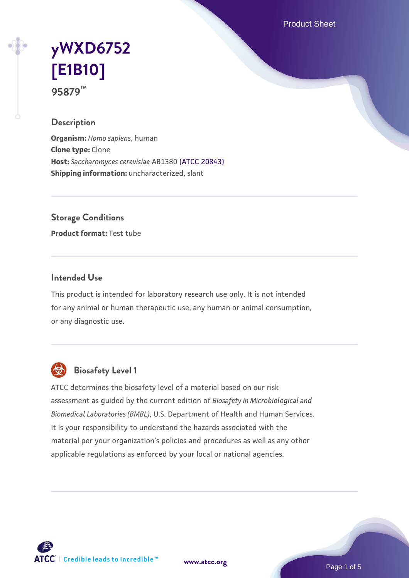Product Sheet

# **[yWXD6752](https://www.atcc.org/products/95879) [\[E1B10\]](https://www.atcc.org/products/95879) 95879™**

## **Description**

**Organism:** *Homo sapiens*, human **Clone type:** Clone **Host:** *Saccharomyces cerevisiae* AB1380 [\(ATCC 20843\)](https://www.atcc.org/products/20843) **Shipping information:** uncharacterized, slant

**Storage Conditions**

**Product format:** Test tube

## **Intended Use**

This product is intended for laboratory research use only. It is not intended for any animal or human therapeutic use, any human or animal consumption, or any diagnostic use.



## **Biosafety Level 1**

ATCC determines the biosafety level of a material based on our risk assessment as guided by the current edition of *Biosafety in Microbiological and Biomedical Laboratories (BMBL)*, U.S. Department of Health and Human Services. It is your responsibility to understand the hazards associated with the material per your organization's policies and procedures as well as any other applicable regulations as enforced by your local or national agencies.

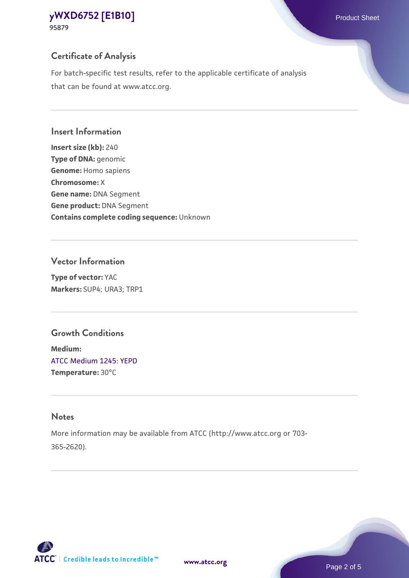**95879**

## **Certificate of Analysis**

For batch-specific test results, refer to the applicable certificate of analysis that can be found at www.atcc.org.

#### **Insert Information**

**Insert size (kb):** 240 **Type of DNA:** genomic **Genome:** Homo sapiens **Chromosome:** X **Gene name:** DNA Segment **Gene product:** DNA Segment **Contains complete coding sequence:** Unknown

#### **Vector Information**

**Type of vector:** YAC **Markers:** SUP4; URA3; TRP1

## **Growth Conditions**

**Medium:**  [ATCC Medium 1245: YEPD](https://www.atcc.org/-/media/product-assets/documents/microbial-media-formulations/1/2/4/5/atcc-medium-1245.pdf?rev=705ca55d1b6f490a808a965d5c072196) **Temperature:** 30°C

#### **Notes**

More information may be available from ATCC (http://www.atcc.org or 703- 365-2620).

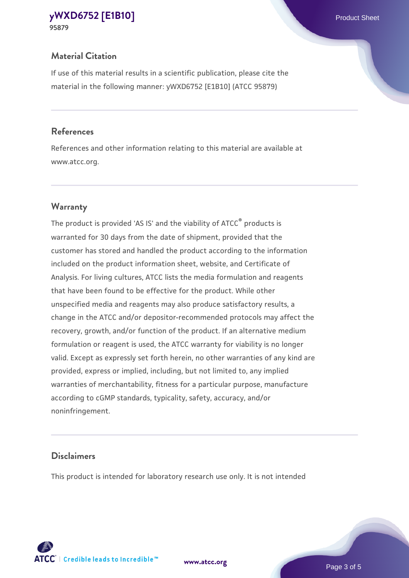## **Material Citation**

If use of this material results in a scientific publication, please cite the material in the following manner: yWXD6752 [E1B10] (ATCC 95879)

#### **References**

References and other information relating to this material are available at www.atcc.org.

## **Warranty**

The product is provided 'AS IS' and the viability of ATCC® products is warranted for 30 days from the date of shipment, provided that the customer has stored and handled the product according to the information included on the product information sheet, website, and Certificate of Analysis. For living cultures, ATCC lists the media formulation and reagents that have been found to be effective for the product. While other unspecified media and reagents may also produce satisfactory results, a change in the ATCC and/or depositor-recommended protocols may affect the recovery, growth, and/or function of the product. If an alternative medium formulation or reagent is used, the ATCC warranty for viability is no longer valid. Except as expressly set forth herein, no other warranties of any kind are provided, express or implied, including, but not limited to, any implied warranties of merchantability, fitness for a particular purpose, manufacture according to cGMP standards, typicality, safety, accuracy, and/or noninfringement.

## **Disclaimers**

This product is intended for laboratory research use only. It is not intended



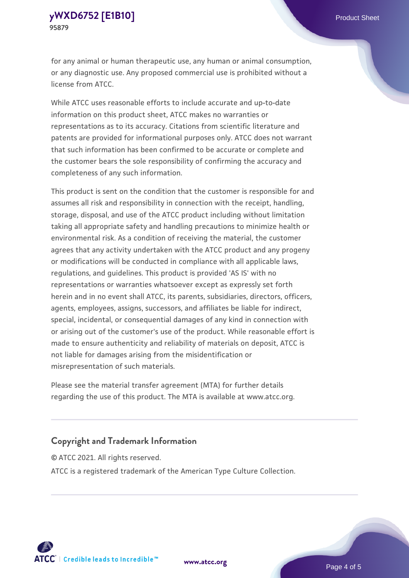for any animal or human therapeutic use, any human or animal consumption, or any diagnostic use. Any proposed commercial use is prohibited without a license from ATCC.

While ATCC uses reasonable efforts to include accurate and up-to-date information on this product sheet, ATCC makes no warranties or representations as to its accuracy. Citations from scientific literature and patents are provided for informational purposes only. ATCC does not warrant that such information has been confirmed to be accurate or complete and the customer bears the sole responsibility of confirming the accuracy and completeness of any such information.

This product is sent on the condition that the customer is responsible for and assumes all risk and responsibility in connection with the receipt, handling, storage, disposal, and use of the ATCC product including without limitation taking all appropriate safety and handling precautions to minimize health or environmental risk. As a condition of receiving the material, the customer agrees that any activity undertaken with the ATCC product and any progeny or modifications will be conducted in compliance with all applicable laws, regulations, and guidelines. This product is provided 'AS IS' with no representations or warranties whatsoever except as expressly set forth herein and in no event shall ATCC, its parents, subsidiaries, directors, officers, agents, employees, assigns, successors, and affiliates be liable for indirect, special, incidental, or consequential damages of any kind in connection with or arising out of the customer's use of the product. While reasonable effort is made to ensure authenticity and reliability of materials on deposit, ATCC is not liable for damages arising from the misidentification or misrepresentation of such materials.

Please see the material transfer agreement (MTA) for further details regarding the use of this product. The MTA is available at www.atcc.org.

## **Copyright and Trademark Information**

© ATCC 2021. All rights reserved. ATCC is a registered trademark of the American Type Culture Collection.



**[www.atcc.org](http://www.atcc.org)**

Page 4 of 5